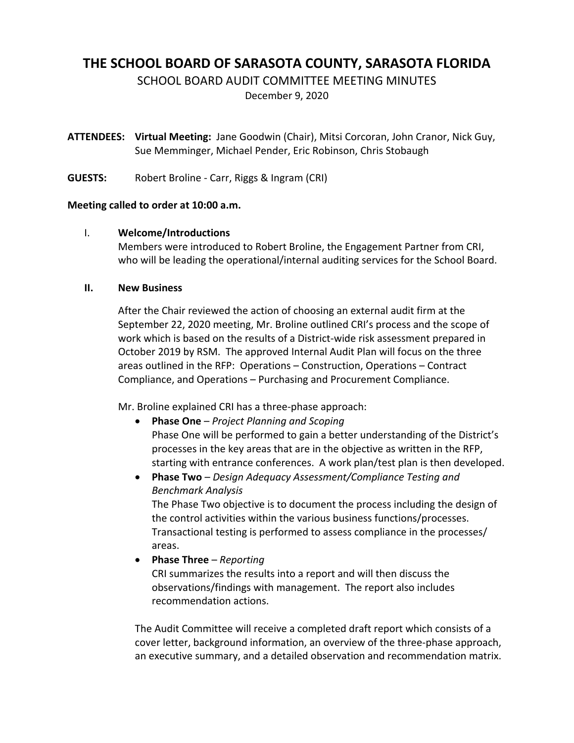# **THE SCHOOL BOARD OF SARASOTA COUNTY, SARASOTA FLORIDA**

SCHOOL BOARD AUDIT COMMITTEE MEETING MINUTES

December 9, 2020

**ATTENDEES: Virtual Meeting:** Jane Goodwin (Chair), Mitsi Corcoran, John Cranor, Nick Guy, Sue Memminger, Michael Pender, Eric Robinson, Chris Stobaugh

**GUESTS:** Robert Broline ‐ Carr, Riggs & Ingram (CRI)

## **Meeting called to order at 10:00 a.m.**

## I. **Welcome/Introductions**

Members were introduced to Robert Broline, the Engagement Partner from CRI, who will be leading the operational/internal auditing services for the School Board.

## **II. New Business**

After the Chair reviewed the action of choosing an external audit firm at the September 22, 2020 meeting, Mr. Broline outlined CRI's process and the scope of work which is based on the results of a District-wide risk assessment prepared in October 2019 by RSM. The approved Internal Audit Plan will focus on the three areas outlined in the RFP: Operations – Construction, Operations – Contract Compliance, and Operations – Purchasing and Procurement Compliance.

Mr. Broline explained CRI has a three‐phase approach:

- **Phase One** *Project Planning and Scoping* Phase One will be performed to gain a better understanding of the District's processes in the key areas that are in the objective as written in the RFP, starting with entrance conferences. A work plan/test plan is then developed.
- **Phase Two** *Design Adequacy Assessment/Compliance Testing and Benchmark Analysis* The Phase Two objective is to document the process including the design of the control activities within the various business functions/processes. Transactional testing is performed to assess compliance in the processes/ areas.
- **Phase Three** *Reporting*

CRI summarizes the results into a report and will then discuss the observations/findings with management. The report also includes recommendation actions.

The Audit Committee will receive a completed draft report which consists of a cover letter, background information, an overview of the three‐phase approach, an executive summary, and a detailed observation and recommendation matrix.